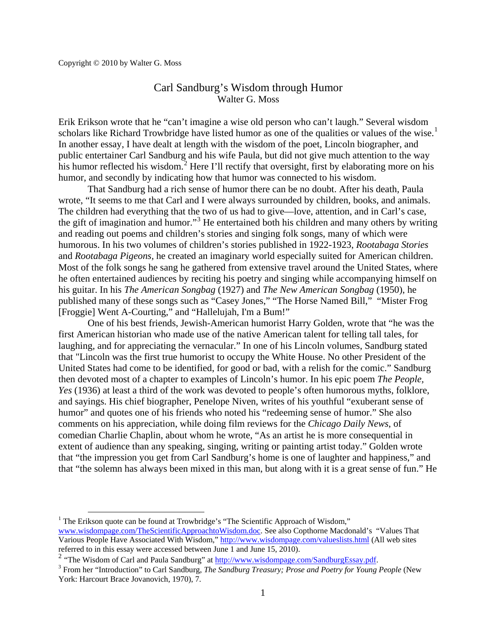## Carl Sandburg's Wisdom through Humor Walter G. Moss

Erik Erikson wrote that he "can't imagine a wise old person who can't laugh." Several wisdom scholars like Richard Trowbridge have listed humor as one of the qualities or values of the wise.<sup>[1](#page-0-0)</sup> In another essay, I have dealt at length with the wisdom of the poet, Lincoln biographer, and public entertainer Carl Sandburg and his wife Paula, but did not give much attention to the way his humor reflected his wisdom.<sup>[2](#page-0-1)</sup> Here I'll rectify that oversight, first by elaborating more on his humor, and secondly by indicating how that humor was connected to his wisdom.

That Sandburg had a rich sense of humor there can be no doubt. After his death, Paula wrote, "It seems to me that Carl and I were always surrounded by children, books, and animals. The children had everything that the two of us had to give—love, attention, and in Carl's case, the gift of imagination and humor."<sup>[3](#page-0-2)</sup> He entertained both his children and many others by writing and reading out poems and children's stories and singing folk songs, many of which were humorous. In his two volumes of children's stories published in 1922-1923, *Rootabaga Stories* and *Rootabaga Pigeons,* he created an imaginary world especially suited for American children. Most of the folk songs he sang he gathered from extensive travel around the United States, where he often entertained audiences by reciting his poetry and singing while accompanying himself on his guitar. In his *The American Songbag* (1927) and *The New American Songbag* (1950), he published many of these songs such as "Casey Jones," "The Horse Named Bill," "Mister Frog [Froggie] Went A-Courting," and "Hallelujah, I'm a Bum!"

One of his best friends, Jewish-American humorist Harry Golden, wrote that "he was the first American historian who made use of the native American talent for telling tall tales, for laughing, and for appreciating the vernacular." In one of his Lincoln volumes, Sandburg stated that "Lincoln was the first true humorist to occupy the White House. No other President of the United States had come to be identified, for good or bad, with a relish for the comic." Sandburg then devoted most of a chapter to examples of Lincoln's humor. In his epic poem *The People, Yes* (1936) at least a third of the work was devoted to people's often humorous myths, folklore, and sayings. His chief biographer, Penelope Niven, writes of his youthful "exuberant sense of humor" and quotes one of his friends who noted his "redeeming sense of humor." She also comments on his appreciation, while doing film reviews for the *Chicago Daily News*, of comedian Charlie Chaplin, about whom he wrote, "As an artist he is more consequential in extent of audience than any speaking, singing, writing or painting artist today." Golden wrote that "the impression you get from Carl Sandburg's home is one of laughter and happiness," and that "the solemn has always been mixed in this man, but along with it is a great sense of fun." He

<span id="page-0-0"></span> $<sup>1</sup>$  The Erikson quote can be found at Trowbridge's "The Scientific Approach of Wisdom,"</sup> [www.wisdompage.com/TheScientificApproachtoWisdom.doc.](http://www.wisdompage.com/TheScientificApproachtoWisdom.doc) See also Copthorne Macdonald's "Values That Various People Have Associated With Wisdom,[" http://www.wisdompage.com/valueslists.html](http://www.wisdompage.com/valueslists.html) (All web sites referred to in this essay were accessed between June 1 and June 15, 2010).

<span id="page-0-1"></span><sup>2 &</sup>quot;The Wisdom of Carl and Paula Sandburg" at <u>http://www.wisdompage.com/SandburgEssay.pdf</u>.<br><sup>3</sup> From her "Introduction" to Carl Sandburg, *The Sandburg Treasury; Prose and Poetry for Young People* (New

<span id="page-0-2"></span>York: Harcourt Brace Jovanovich, 1970), 7.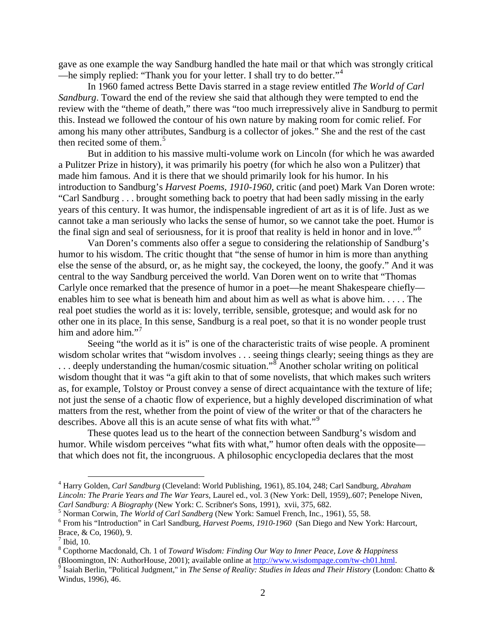gave as one example the way Sandburg handled the hate mail or that which was strongly critical —he simply replied: "Thank you for your letter. I shall try to do better."<sup>[4](#page-1-0)</sup>

In 1960 famed actress Bette Davis starred in a stage review entitled *The World of Carl Sandburg*. Toward the end of the review she said that although they were tempted to end the review with the "theme of death," there was "too much irrepressively alive in Sandburg to permit this. Instead we followed the contour of his own nature by making room for comic relief*.* For among his many other attributes, Sandburg is a collector of jokes." She and the rest of the cast then recited some of them.<sup>[5](#page-1-1)</sup>

But in addition to his massive multi-volume work on Lincoln (for which he was awarded a Pulitzer Prize in history), it was primarily his poetry (for which he also won a Pulitzer) that made him famous. And it is there that we should primarily look for his humor. In his introduction to Sandburg's *Harvest Poems, 1910-1960*, critic (and poet) Mark Van Doren wrote: "Carl Sandburg . . . brought something back to poetry that had been sadly missing in the early years of this century*.* It was humor, the indispensable ingredient of art as it is of life. Just as we cannot take a man seriously who lacks the sense of humor, so we cannot take the poet. Humor is the final sign and seal of seriousness, for it is proof that reality is held in honor and in love."[6](#page-1-2)

Van Doren's comments also offer a segue to considering the relationship of Sandburg's humor to his wisdom. The critic thought that "the sense of humor in him is more than anything else the sense of the absurd, or, as he might say, the cockeyed, the loony*,* the goofy." And it was central to the way Sandburg perceived the world. Van Doren went on to write that "Thomas Carlyle once remarked that the presence of humor in a poet—he meant Shakespeare chiefly enables him to see what is beneath him and about him as well as what is above him. . . . . The real poet studies the world as it is: lovely, terrible, sensible, grotesque; and would ask for no other one in its place. In this sense, Sandburg is a real poet, so that it is no wonder people trust him and adore him."<sup>[7](#page-1-3)</sup>

Seeing "the world as it is" is one of the characteristic traits of wise people. A prominent wisdom scholar writes that "wisdom involves . . . seeing things clearly; seeing things as they are  $\dots$  deeply understanding the human/cosmic situation."<sup>[8](#page-1-4)</sup> Another scholar writing on political wisdom thought that it was "a gift akin to that of some novelists, that which makes such writers as, for example, Tolstoy or Proust convey a sense of direct acquaintance with the texture of life; not just the sense of a chaotic flow of experience, but a highly developed discrimination of what matters from the rest, whether from the point of view of the writer or that of the characters he describes. Above all this is an acute sense of what fits with what."<sup>[9](#page-1-5)</sup>

These quotes lead us to the heart of the connection between Sandburg's wisdom and humor. While wisdom perceives "what fits with what," humor often deals with the opposite that which does not fit, the incongruous. A philosophic encyclopedia declares that the most

<span id="page-1-0"></span> <sup>4</sup> Harry Golden, *Carl Sandburg* (Cleveland: World Publishing, 1961), 85.104, 248; Carl Sandburg, *Abraham Lincoln: The Prarie Years and The War Years,* Laurel ed., vol. 3 (New York: Dell, 1959),.607; Penelope Niven,

<span id="page-1-2"></span><span id="page-1-1"></span><sup>&</sup>lt;sup>5</sup> Norman Corwin, *The World of Carl Sandberg* (New York: Samuel French, Inc., 1961), 55, 58.<br><sup>6</sup> From his "Introduction" in Carl Sandburg, *Harvest Poems, 1910-1960* (San Diego and New York: Harcourt, Brace, & Co, 1960), 9.<br><sup>7</sup> Ibid, 10.

<span id="page-1-3"></span>

<span id="page-1-4"></span><sup>8</sup> Copthorne Macdonald, Ch. 1 of *Toward Wisdom: Finding Our Way to Inner Peace, Love & Happiness*

<span id="page-1-5"></span> $\frac{1}{9}$  Isaiah Berlin, "Political Judgment," in *The Sense of Reality: Studies in Ideas and Their History* (London: Chatto & Windus, 1996), 46.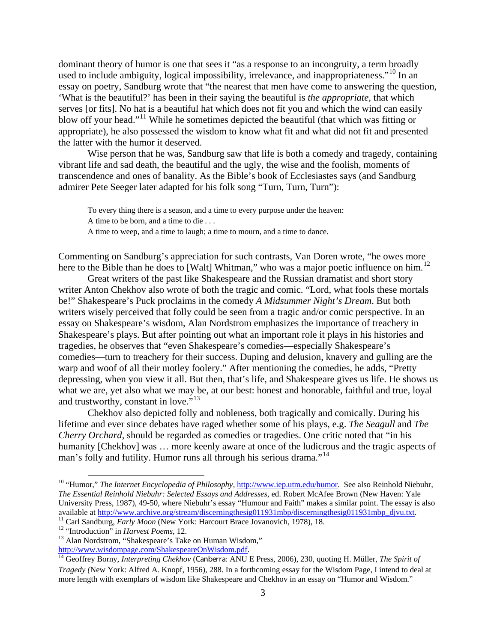dominant theory of humor is one that sees it "as a response to an incongruity, a term broadly used to include ambiguity, logical impossibility, irrelevance, and inappropriateness."<sup>[10](#page-2-0)</sup> In an essay on poetry, Sandburg wrote that "the nearest that men have come to answering the question, 'What is the beautiful?' has been in their saying the beautiful is *the appropriate,* that which serves [or fits]. No hat is a beautiful hat which does not fit you and which the wind can easily blow off your head."<sup>[11](#page-2-1)</sup> While he sometimes depicted the beautiful (that which was fitting or appropriate), he also possessed the wisdom to know what fit and what did not fit and presented the latter with the humor it deserved.

Wise person that he was, Sandburg saw that life is both a comedy and tragedy, containing vibrant life and sad death, the beautiful and the ugly, the wise and the foolish, moments of transcendence and ones of banality. As the Bible's book of Ecclesiastes says (and Sandburg admirer Pete Seeger later adapted for his folk song "Turn, Turn, Turn"):

To every thing there is a season, and a time to every purpose under the heaven: A time to be born, and a time to die . . . A time to weep, and a time to laugh; a time to mourn, and a time to dance.

Commenting on Sandburg's appreciation for such contrasts, Van Doren wrote, "he owes more here to the Bible than he does to [Walt] Whitman," who was a major poetic influence on him.<sup>[12](#page-2-2)</sup>

Great writers of the past like Shakespeare and the Russian dramatist and short story writer Anton Chekhov also wrote of both the tragic and comic. "Lord, what fools these mortals be!" Shakespeare's Puck proclaims in the comedy *A Midsummer Night's Dream*. But both writers wisely perceived that folly could be seen from a tragic and/or comic perspective. In an essay on Shakespeare's wisdom, Alan Nordstrom emphasizes the importance of treachery in Shakespeare's plays. But after pointing out what an important role it plays in his histories and tragedies, he observes that "even Shakespeare's comedies—especially Shakespeare's comedies—turn to treachery for their success. Duping and delusion, knavery and gulling are the warp and woof of all their motley foolery." After mentioning the comedies, he adds, "Pretty depressing, when you view it all. But then, that's life, and Shakespeare gives us life. He shows us what we are, yet also what we may be, at our best: honest and honorable, faithful and true, loyal and trustworthy, constant in love."<sup>[13](#page-2-3)</sup>

Chekhov also depicted folly and nobleness, both tragically and comically. During his lifetime and ever since debates have raged whether some of his plays, e.g. *The Seagull* and *The Cherry Orchard*, should be regarded as comedies or tragedies. One critic noted that "in his humanity [Chekhov] was … more keenly aware at once of the ludicrous and the tragic aspects of man's folly and futility. Humor runs all through his serious drama."<sup>[14](#page-2-4)</sup>

<span id="page-2-0"></span><sup>&</sup>lt;sup>10</sup> "Humor," *The Internet Encyclopedia of Philosophy*, [http://www.iep.utm.edu/humor.](http://www.iep.utm.edu/humor) See also Reinhold Niebuhr, *The Essential Reinhold Niebuhr: Selected Essays and Addresses*, ed. Robert McAfee Brown (New Haven: Yale University Press, 1987), 49-50, where Niebuhr's essay "Humour and Faith" makes a similar point. The essay is also available at <u>http://www.archive.org/stream/discerningthesig011931mbp/discerningthesig011931mbp djvu.txt.</u><br><sup>11</sup> Carl Sandburg, *Early Moon* (New York: Harcourt Brace Jovanovich, 1978), 18.<br><sup>12</sup> "Introduction" in *Harvest P* 

<span id="page-2-1"></span>

<span id="page-2-2"></span>

<span id="page-2-4"></span><span id="page-2-3"></span>[http://www.wisdompage.com/ShakespeareOnWisdom.pdf.](http://www.wisdompage.com/ShakespeareOnWisdom.pdf) [14](http://www.wisdompage.com/ShakespeareOnWisdom.pdf) Geoffrey Borny, *Interpreting Chekhov* (Canberra: ANU E Press, 2006), 230, quoting H. Müller, *The Spirit of Tragedy (*New York: Alfred A. Knopf, 1956), 288. In a forthcoming essay for the Wisdom Page, I intend to deal at more length with exemplars of wisdom like Shakespeare and Chekhov in an essay on "Humor and Wisdom."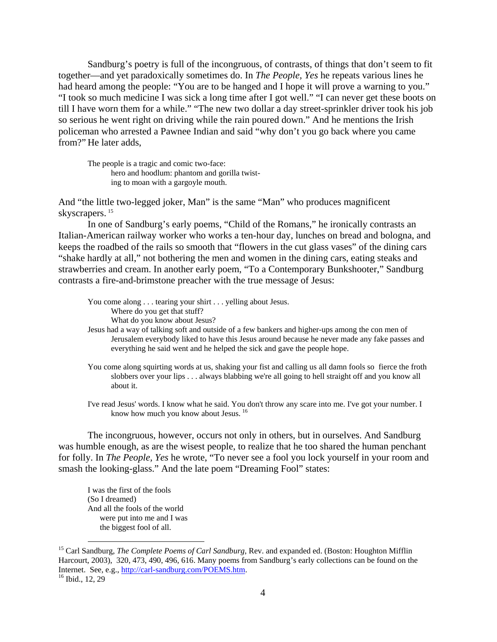Sandburg's poetry is full of the incongruous, of contrasts, of things that don't seem to fit together—and yet paradoxically sometimes do. In *The People, Yes* he repeats various lines he had heard among the people: "You are to be hanged and I hope it will prove a warning to you." "I took so much medicine I was sick a long time after I got well." "I can never get these boots on till I have worn them for a while." "The new two dollar a day street-sprinkler driver took his job so serious he went right on driving while the rain poured down." And he mentions the Irish policeman who arrested a Pawnee Indian and said "why don't you go back where you came from?" He later adds,

The people is a tragic and comic two-face: hero and hoodlum: phantom and gorilla twisting to moan with a gargoyle mouth.

And "the little two-legged joker, Man" is the same "Man" who produces magnificent skyscrapers.<sup>[15](#page-3-0)</sup>

In one of Sandburg's early poems, "Child of the Romans," he ironically contrasts an Italian-American railway worker who works a ten-hour day, lunches on bread and bologna, and keeps the roadbed of the rails so smooth that "flowers in the cut glass vases" of the dining cars "shake hardly at all," not bothering the men and women in the dining cars, eating steaks and strawberries and cream. In another early poem, "To a Contemporary Bunkshooter," Sandburg contrasts a fire-and-brimstone preacher with the true message of Jesus:

You come along . . . tearing your shirt . . . yelling about Jesus. Where do you get that stuff? What do you know about Jesus?

Jesus had a way of talking soft and outside of a few bankers and higher-ups among the con men of Jerusalem everybody liked to have this Jesus around because he never made any fake passes and everything he said went and he helped the sick and gave the people hope.

You come along squirting words at us, shaking your fist and calling us all damn fools so fierce the froth slobbers over your lips . . . always blabbing we're all going to hell straight off and you know all about it.

I've read Jesus' words. I know what he said. You don't throw any scare into me. I've got your number. I know how much you know about Jesus.<sup>[16](#page-3-1)</sup>

The incongruous, however, occurs not only in others, but in ourselves. And Sandburg was humble enough, as are the wisest people, to realize that he too shared the human penchant for folly. In *The People, Yes* he wrote, "To never see a fool you lock yourself in your room and smash the looking-glass." And the late poem "Dreaming Fool" states:

I was the first of the fools (So I dreamed) And all the fools of the world were put into me and I was the biggest fool of all.

<span id="page-3-0"></span><sup>&</sup>lt;sup>15</sup> Carl Sandburg, *The Complete Poems of Carl Sandburg*, Rev. and expanded ed. (Boston: Houghton Mifflin Harcourt, 2003), 320, 473, 490, 496, 616. Many poems from Sandburg's early collections can be found on the Internet. See, e.g., [http://carl-sandburg.com/POEMS.htm.](http://carl-sandburg.com/POEMS.htm) <sup>16</sup> Ibid., 12, 29

<span id="page-3-1"></span>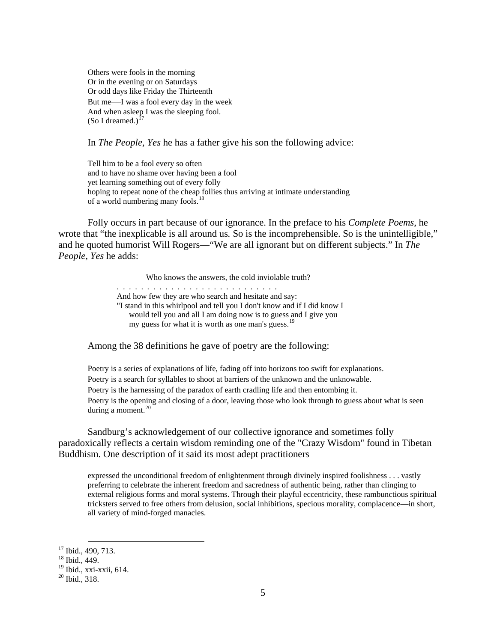Others were fools in the morning Or in the evening or on Saturdays Or odd days like Friday the Thirteenth But me—I was a fool every day in the week And when asleep I was the sleeping fool. (So I dreamed.)<sup>1</sup>

In *The People, Yes* he has a father give his son the following advice:

Tell him to be a fool every so often and to have no shame over having been a fool yet learning something out of every folly hoping to repeat none of the cheap follies thus arriving at intimate understanding of a world numbering many fools.<sup>[18](#page-4-1)</sup>

Folly occurs in part because of our ignorance. In the preface to his *Complete Poems*, he wrote that "the inexplicable is all around us*.* So is the incomprehensible. So is the unintelligible," and he quoted humorist Will Rogers—"We are all ignorant but on different subjects." In *The People, Yes* he adds:

> Who knows the answers*,* the cold inviolable truth? . . . . . . . . . . . . . . . . . . . . . . . . . . . And how few they are who search and hesitate and say: "I stand in this whirlpool and tell you I don't know and if I did know I would tell you and all I am doing now is to guess and I give you my guess for what it is worth as one man's guess.<sup>[19](#page-4-2)</sup>

Among the 38 definitions he gave of poetry are the following:

Poetry is a series of explanations of life, fading off into horizons too swift for explanations. Poetry is a search for syllables to shoot at barriers of the unknown and the unknowable. Poetry is the harnessing of the paradox of earth cradling life and then entombing it. Poetry is the opening and closing of a door, leaving those who look through to guess about what is seen during a moment. $20$ 

Sandburg's acknowledgement of our collective ignorance and sometimes folly paradoxically reflects a certain wisdom reminding one of the "Crazy Wisdom" found in Tibetan Buddhism. One description of it said its most adept practitioners

expressed the unconditional freedom of enlightenment through divinely inspired foolishness . . . vastly preferring to celebrate the inherent freedom and sacredness of authentic being, rather than clinging to external religious forms and moral systems. Through their playful eccentricity, these rambunctious spiritual tricksters served to free others from delusion, social inhibitions, specious morality, complacence—in short, all variety of mind-forged manacles.

<span id="page-4-0"></span> $17$  Ibid., 490, 713.<br> $18$  Ibid., 449.

<span id="page-4-3"></span><span id="page-4-2"></span><span id="page-4-1"></span> $19$  Ibid., xxi-xxii, 614.<br> $20$  Ibid., 318.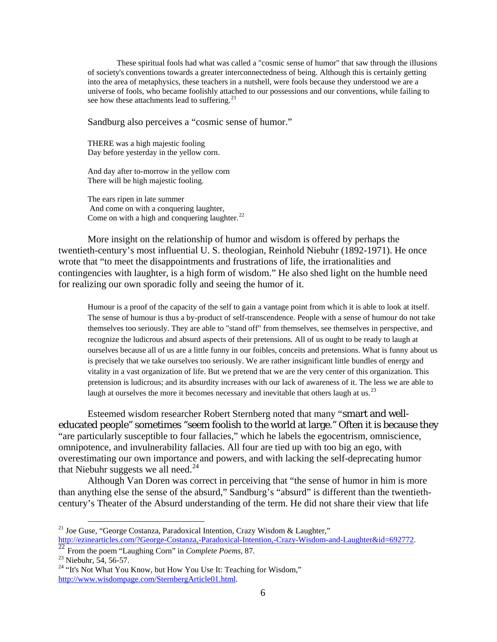These spiritual fools had what was called a "cosmic sense of humor" that saw through the illusions of society's conventions towards a greater interconnectedness of being. Although this is certainly getting into the area of metaphysics, these teachers in a nutshell, were fools because they understood we are a universe of fools, who became foolishly attached to our possessions and our conventions, while failing to see how these attachments lead to suffering. $^{21}$  $^{21}$  $^{21}$ 

Sandburg also perceives a "cosmic sense of humor."

THERE was a high majestic fooling Day before yesterday in the yellow corn.

And day after to-morrow in the yellow corn There will be high majestic fooling.

The ears ripen in late summer And come on with a conquering laughter, Come on with a high and conquering laughter.<sup>[22](#page-5-1)</sup>

More insight on the relationship of humor and wisdom is offered by perhaps the twentieth-century's most influential U. S. theologian, Reinhold Niebuhr (1892-1971). He once wrote that "to meet the disappointments and frustrations of life, the irrationalities and contingencies with laughter, is a high form of wisdom." He also shed light on the humble need for realizing our own sporadic folly and seeing the humor of it.

Humour is a proof of the capacity of the self to gain a vantage point from which it is able to look at itself. The sense of humour is thus a by-product of self-transcendence. People with a sense of humour do not take themselves too seriously. They are able to "stand off" from themselves, see themselves in perspective, and recognize the ludicrous and absurd aspects of their pretensions. All of us ought to be ready to laugh at ourselves because all of us are a little funny in our foibles, conceits and pretensions. What is funny about us is precisely that we take ourselves too seriously. We are rather insignificant little bundles of energy and vitality in a vast organization of life. But we pretend that we are the very center of this organization. This pretension is ludicrous; and its absurdity increases with our lack of awareness of it. The less we are able to laugh at ourselves the more it becomes necessary and inevitable that others laugh at us.<sup>[23](#page-5-2)</sup>

Esteemed wisdom researcher Robert Sternberg noted that many "smart and welleducated people" sometimes "seem foolish to the world at large." Often it is because they "are particularly susceptible to four fallacies," which he labels the egocentrism, omniscience, omnipotence, and invulnerability fallacies. All four are tied up with too big an ego, with overestimating our own importance and powers, and with lacking the self-deprecating humor that Niebuhr suggests we all need. $^{24}$  $^{24}$  $^{24}$ 

Although Van Doren was correct in perceiving that "the sense of humor in him is more than anything else the sense of the absurd," Sandburg's "absurd" is different than the twentiethcentury's Theater of the Absurd understanding of the term. He did not share their view that life

<span id="page-5-0"></span><sup>&</sup>lt;sup>21</sup> Joe Guse, "George Costanza, Paradoxical Intention, Crazy Wisdom & Laughter," [http://ezinearticles.com/?George-Costanza,-Paradoxical-Intention,-Crazy-Wisdom-and-Laughter&id=692772.](http://ezinearticles.com/?George-Costanza,-Paradoxical-Intention,-Crazy-Wisdom-and-Laughter&id=692772) [22](http://ezinearticles.com/?George-Costanza,-Paradoxical-Intention,-Crazy-Wisdom-and-Laughter&id=692772) From the poem "Laughing Corn" in *Complete Poems*, 87.

<span id="page-5-1"></span>

<span id="page-5-3"></span><span id="page-5-2"></span><sup>&</sup>lt;sup>24</sup> "It's Not What You Know, but How You Use It: Teaching for Wisdom," [http://www.wisdompage.com/SternbergArticle01.html.](http://www.wisdompage.com/SternbergArticle01.html)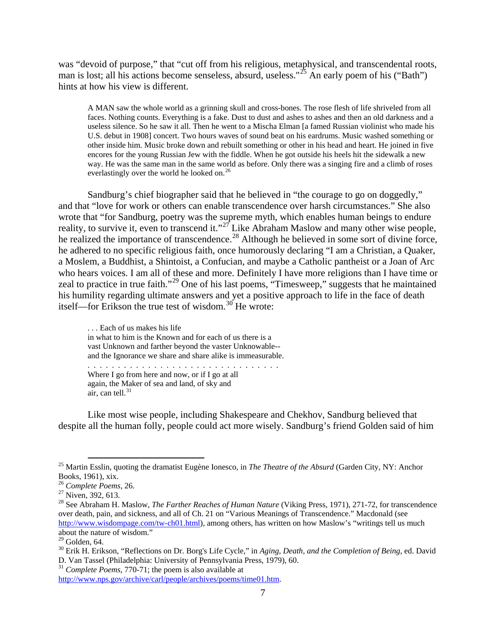was "devoid of purpose," that "cut off from his religious, metaphysical, and transcendental roots, man is lost; all his actions become senseless, absurd, useless."<sup>[25](#page-6-0)</sup> An early poem of his ("Bath") hints at how his view is different.

A MAN saw the whole world as a grinning skull and cross-bones. The rose flesh of life shriveled from all faces. Nothing counts. Everything is a fake. Dust to dust and ashes to ashes and then an old darkness and a useless silence. So he saw it all. Then he went to a Mischa Elman [a famed Russian violinist who made his U.S. debut in 1908] concert. Two hours waves of sound beat on his eardrums. Music washed something or other inside him. Music broke down and rebuilt something or other in his head and heart. He joined in five encores for the young Russian Jew with the fiddle. When he got outside his heels hit the sidewalk a new way. He was the same man in the same world as before. Only there was a singing fire and a climb of roses everlastingly over the world he looked on.<sup>[26](#page-6-1)</sup>

Sandburg's chief biographer said that he believed in "the courage to go on doggedly," and that "love for work or others can enable transcendence over harsh circumstances." She also wrote that "for Sandburg, poetry was the supreme myth, which enables human beings to endure reality, to survive it, even to transcend it."<sup>[27](#page-6-2)</sup> Like Abraham Maslow and many other wise people, he realized the importance of transcendence.<sup>[28](#page-6-3)</sup> Although he believed in some sort of divine force, he adhered to no specific religious faith, once humorously declaring "I am a Christian, a Quaker, a Moslem, a Buddhist, a Shintoist, a Confucian, and maybe a Catholic pantheist or a Joan of Arc who hears voices. I am all of these and more. Definitely I have more religions than I have time or zeal to practice in true faith."[29](#page-6-4) One of his last poems, "Timesweep," suggests that he maintained his humility regarding ultimate answers and yet a positive approach to life in the face of death itself—for Erikson the true test of wisdom.<sup>[30](#page-6-5)</sup> He wrote:

. . . Each of us makes his life in what to him is the Known and for each of us there is a vast Unknown and farther beyond the vaster Unknowable- and the Ignorance we share and share alike is immeasurable. . . . . . . . . . . . . . . . . . . . . . . . . . . . . . . . .

Where I go from here and now, or if I go at all again, the Maker of sea and land, of sky and air, can tell. $31$ 

Like most wise people, including Shakespeare and Chekhov, Sandburg believed that despite all the human folly, people could act more wisely. Sandburg's friend Golden said of him

<span id="page-6-6"></span><sup>31</sup> Complete Poems, 770-71; the poem is also available at

<span id="page-6-0"></span><sup>&</sup>lt;sup>25</sup> Martin Esslin, quoting the dramatist Eugène Ionesco, in *The Theatre of the Absurd* (Garden City, NY: Anchor Books, 1961), xix.

<span id="page-6-3"></span>

<span id="page-6-2"></span><span id="page-6-1"></span><sup>&</sup>lt;sup>26</sup> Complete Poems, 26.<br><sup>27</sup> Niven, 392, 613.<br><sup>28</sup> See Abraham H. Maslow, *The Farther Reaches of Human Nature* (Viking Press, 1971), 271-72, for transcendence over death, pain, and sickness, and all of Ch. 21 on "Various Meanings of Transcendence." Macdonald (see [http://www.wisdompage.com/tw-ch01.html\)](http://www.wisdompage.com/tw-ch01.html), among others, has written on how Maslow's "writings tell us much about the nature of wisdom."<br> $29$  Golden, 64.

<span id="page-6-4"></span>

<span id="page-6-5"></span><sup>&</sup>lt;sup>30</sup> Erik H. Erikson, "Reflections on Dr. Borg's Life Cycle," in *Aging, Death, and the Completion of Being*, ed. David D. Van Tassel (Philadelphia: University of Pennsylvania Press, 1979), 60.

[http://www.nps.gov/archive/carl/people/archives/poems/time01.htm.](http://www.nps.gov/archive/carl/people/archives/poems/time01.htm)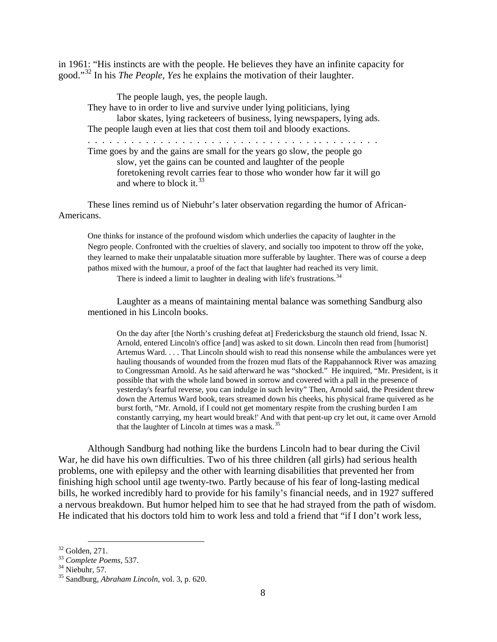in 1961: "His instincts are with the people. He believes they have an infinite capacity for good."[32](#page-7-0) In his *The People, Yes* he explains the motivation of their laughter.

The people laugh, yes, the people laugh. They have to in order to live and survive under lying politicians, lying labor skates, lying racketeers of business, lying newspapers, lying ads. The people laugh even at lies that cost them toil and bloody exactions. . . . . . . . . . . . . . . . . . . . . . . . . . . . . . . . . . . . . . . . . . Time goes by and the gains are small for the years go slow, the people go slow, yet the gains can be counted and laughter of the people foretokening revolt carries fear to those who wonder how far it will go and where to block it.  $33$ 

These lines remind us of Niebuhr's later observation regarding the humor of African-Americans.

One thinks for instance of the profound wisdom which underlies the capacity of laughter in the Negro people. Confronted with the cruelties of slavery, and socially too impotent to throw off the yoke, they learned to make their unpalatable situation more sufferable by laughter. There was of course a deep pathos mixed with the humour, a proof of the fact that laughter had reached its very limit. There is indeed a limit to laughter in dealing with life's frustrations.  $34$ 

Laughter as a means of maintaining mental balance was something Sandburg also mentioned in his Lincoln books.

On the day after [the North's crushing defeat at] Fredericksburg the staunch old friend, Issac N. Arnold, entered Lincoln's office [and] was asked to sit down. Lincoln then read from [humorist] Artemus Ward. . . . That Lincoln should wish to read this nonsense while the ambulances were yet hauling thousands of wounded from the frozen mud flats of the Rappahannock River was amazing to Congressman Arnold. As he said afterward he was "shocked." He inquired, "Mr. President, is it possible that with the whole land bowed in sorrow and covered with a pall in the presence of yesterday's fearful reverse, you can indulge in such levity" Then, Arnold said, the President threw down the Artemus Ward book, tears streamed down his cheeks, his physical frame quivered as he burst forth, "Mr. Arnold, if I could not get momentary respite from the crushing burden I am constantly carrying, my heart would break!' And with that pent-up cry let out, it came over Arnold that the laughter of Lincoln at times was a mask. $35$ 

Although Sandburg had nothing like the burdens Lincoln had to bear during the Civil War, he did have his own difficulties. Two of his three children (all girls) had serious health problems, one with epilepsy and the other with learning disabilities that prevented her from finishing high school until age twenty-two. Partly because of his fear of long-lasting medical bills, he worked incredibly hard to provide for his family's financial needs, and in 1927 suffered a nervous breakdown. But humor helped him to see that he had strayed from the path of wisdom. He indicated that his doctors told him to work less and told a friend that "if I don't work less,

<span id="page-7-3"></span><span id="page-7-2"></span>

<span id="page-7-1"></span><span id="page-7-0"></span><sup>32</sup> Golden, 271. <sup>33</sup> *Complete Poems*, 537. <sup>34</sup> Niebuhr, 57. <sup>35</sup> Sandburg, *Abraham Lincoln*, vol. 3, p. 620.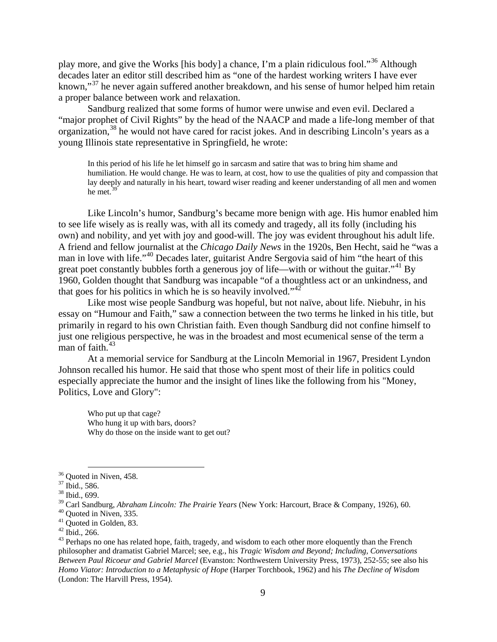play more, and give the Works [his body] a chance, I'm a plain ridiculous fool."[36](#page-8-0) Although decades later an editor still described him as "one of the hardest working writers I have ever known,"<sup>[37](#page-8-1)</sup> he never again suffered another breakdown, and his sense of humor helped him retain a proper balance between work and relaxation.

Sandburg realized that some forms of humor were unwise and even evil. Declared a "major prophet of Civil Rights" by the head of the NAACP and made a life-long member of that organization,<sup>[38](#page-8-2)</sup> he would not have cared for racist jokes. And in describing Lincoln's years as a young Illinois state representative in Springfield, he wrote:

In this period of his life he let himself go in sarcasm and satire that was to bring him shame and humiliation. He would change. He was to learn, at cost, how to use the qualities of pity and compassion that lay deeply and naturally in his heart, toward wiser reading and keener understanding of all men and women he met.<sup>[39](#page-8-3)</sup>

Like Lincoln's humor, Sandburg's became more benign with age. His humor enabled him to see life wisely as is really was, with all its comedy and tragedy, all its folly (including his own) and nobility, and yet with joy and good-will. The joy was evident throughout his adult life. A friend and fellow journalist at the *Chicago Daily News* in the 1920s, Ben Hecht, said he "was a man in love with life."[40](#page-8-4) Decades later, guitarist Andre Sergovia said of him "the heart of this great poet constantly bubbles forth a generous joy of life—with or without the guitar."<sup>[41](#page-8-5)</sup> By 1960, Golden thought that Sandburg was incapable "of a thoughtless act or an unkindness, and that goes for his politics in which he is so heavily involved."<sup>[42](#page-8-6)</sup>

Like most wise people Sandburg was hopeful, but not naïve, about life. Niebuhr, in his essay on "Humour and Faith," saw a connection between the two terms he linked in his title, but primarily in regard to his own Christian faith. Even though Sandburg did not confine himself to just one religious perspective, he was in the broadest and most ecumenical sense of the term a man of faith. $43$ 

At a memorial service for Sandburg at the Lincoln Memorial in 1967, President Lyndon Johnson recalled his humor. He said that those who spent most of their life in politics could especially appreciate the humor and the insight of lines like the following from his "Money, Politics, Love and Glory":

Who put up that cage? Who hung it up with bars, doors? Why do those on the inside want to get out?

<span id="page-8-1"></span><span id="page-8-0"></span><sup>&</sup>lt;sup>36</sup> Quoted in Niven, 458.<br><sup>37</sup> Ibid., 586.<br><sup>38</sup> Ibid., 699.

<span id="page-8-4"></span><span id="page-8-3"></span><span id="page-8-2"></span><sup>&</sup>lt;sup>39</sup> Carl Sandburg, *Abraham Lincoln: The Prairie Years* (New York: Harcourt, Brace & Company, 1926), 60.<br><sup>40</sup> Quoted in Niven, 335.<br><sup>41</sup> Quoted in Golden, 83.<br><sup>42</sup> Ibid., 266.<br><sup>43</sup> Perhaps no one has related hope, faith,

<span id="page-8-5"></span>

<span id="page-8-7"></span><span id="page-8-6"></span>philosopher and dramatist Gabriel Marcel; see, e.g., his *Tragic Wisdom and Beyond; Including, Conversations Between Paul Ricoeur and Gabriel Marcel* (Evanston: Northwestern University Press, 1973), 252-55; see also his *Homo Viator: Introduction to a Metaphysic of Hope* (Harper Torchbook, 1962) and his *The Decline of Wisdom* (London: The Harvill Press, 1954).